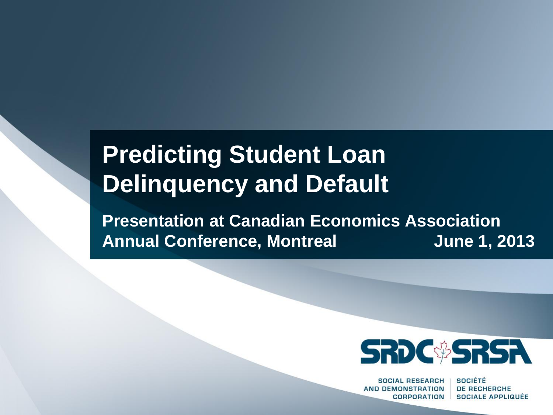# **Predicting Student Loan Delinquency and Default**

**Presentation at Canadian Economics Association Annual Conference, Montreal June 1, 2013**



**SOCIAL RESEARCH AND DEMONSTRATION CORPORATION** 

**SOCIÉTÉ DE RECHERCHE SOCIALE APPLIQUÉE**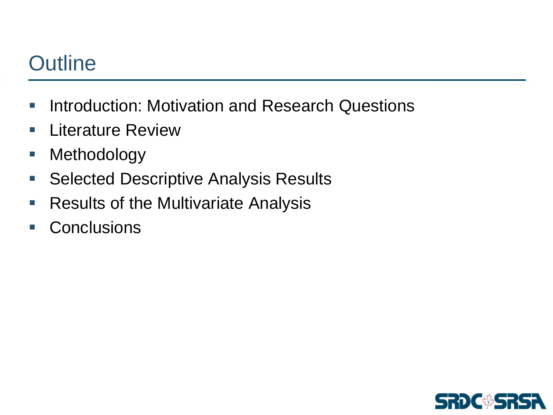## **Outline**

- **Introduction: Motivation and Research Questions**
- **E** Literature Review
- **Nethodology**
- **Selected Descriptive Analysis Results**
- **Results of the Multivariate Analysis**
- **Conclusions**

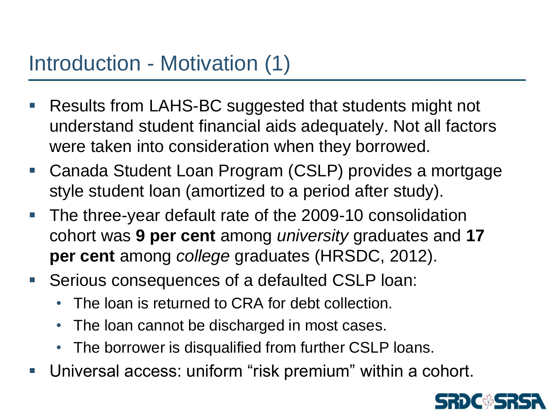## Introduction - Motivation (1)

- Results from LAHS-BC suggested that students might not understand student financial aids adequately. Not all factors were taken into consideration when they borrowed.
- Canada Student Loan Program (CSLP) provides a mortgage style student loan (amortized to a period after study).
- The three-year default rate of the 2009-10 consolidation cohort was **9 per cent** among *university* graduates and **17 per cent** among *college* graduates (HRSDC, 2012).
- Serious consequences of a defaulted CSLP loan:
	- The loan is returned to CRA for debt collection.
	- The loan cannot be discharged in most cases.
	- The borrower is disqualified from further CSLP loans.
- Universal access: uniform "risk premium" within a cohort.

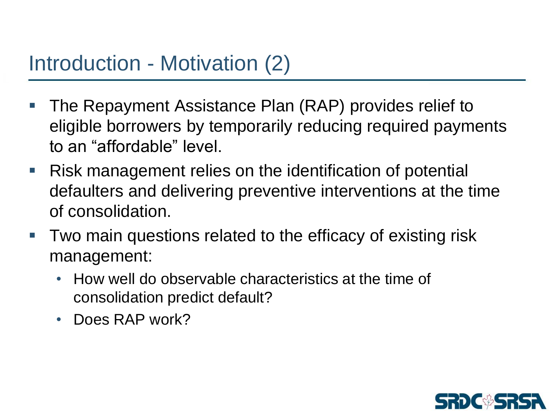## Introduction - Motivation (2)

- The Repayment Assistance Plan (RAP) provides relief to eligible borrowers by temporarily reducing required payments to an "affordable" level.
- Risk management relies on the identification of potential defaulters and delivering preventive interventions at the time of consolidation.
- Two main questions related to the efficacy of existing risk management:
	- How well do observable characteristics at the time of consolidation predict default?
	- Does RAP work?

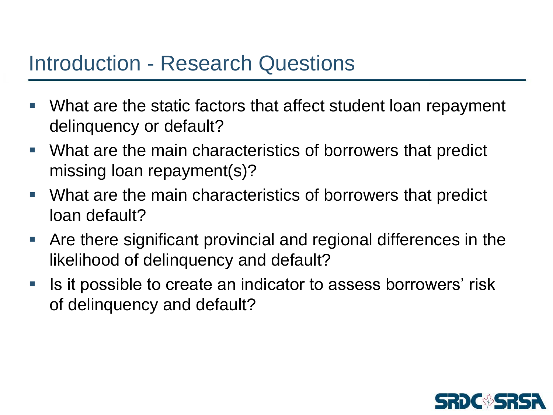#### Introduction - Research Questions

- What are the static factors that affect student loan repayment delinquency or default?
- What are the main characteristics of borrowers that predict missing loan repayment(s)?
- What are the main characteristics of borrowers that predict loan default?
- Are there significant provincial and regional differences in the likelihood of delinquency and default?
- Is it possible to create an indicator to assess borrowers' risk of delinquency and default?

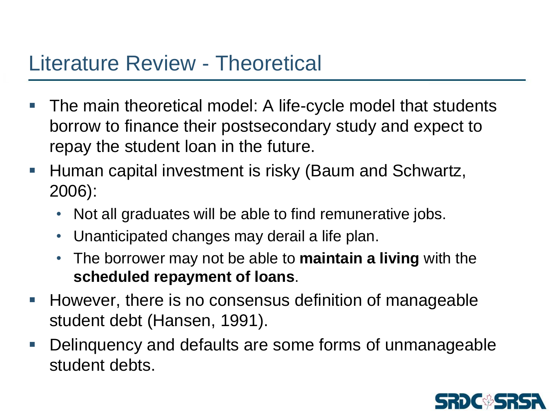#### Literature Review - Theoretical

- The main theoretical model: A life-cycle model that students borrow to finance their postsecondary study and expect to repay the student loan in the future.
- **Human capital investment is risky (Baum and Schwartz,** 2006):
	- Not all graduates will be able to find remunerative jobs.
	- Unanticipated changes may derail a life plan.
	- The borrower may not be able to **maintain a living** with the **scheduled repayment of loans**.
- **However, there is no consensus definition of manageable** student debt (Hansen, 1991).
- Delinquency and defaults are some forms of unmanageable student debts.

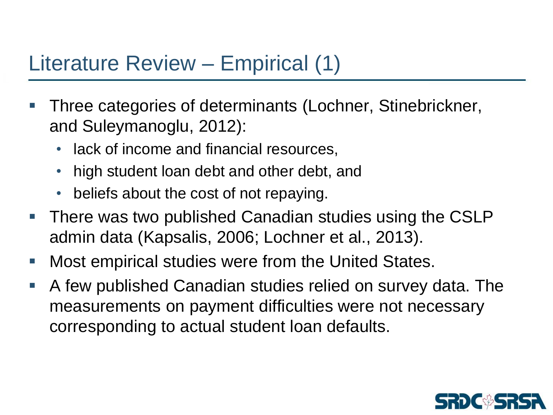#### Literature Review – Empirical (1)

- Three categories of determinants (Lochner, Stinebrickner, and Suleymanoglu, 2012):
	- lack of income and financial resources,
	- high student loan debt and other debt, and
	- beliefs about the cost of not repaying.
- **There was two published Canadian studies using the CSLP** admin data (Kapsalis, 2006; Lochner et al., 2013).
- Most empirical studies were from the United States.
- A few published Canadian studies relied on survey data. The measurements on payment difficulties were not necessary corresponding to actual student loan defaults.

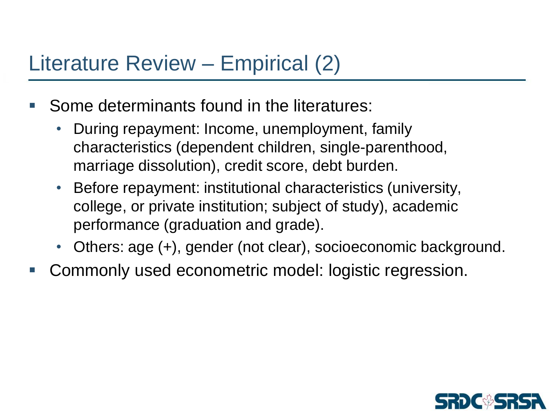#### Literature Review – Empirical (2)

- Some determinants found in the literatures:
	- During repayment: Income, unemployment, family characteristics (dependent children, single-parenthood, marriage dissolution), credit score, debt burden.
	- Before repayment: institutional characteristics (university, college, or private institution; subject of study), academic performance (graduation and grade).
	- Others: age (+), gender (not clear), socioeconomic background.
- Commonly used econometric model: logistic regression.

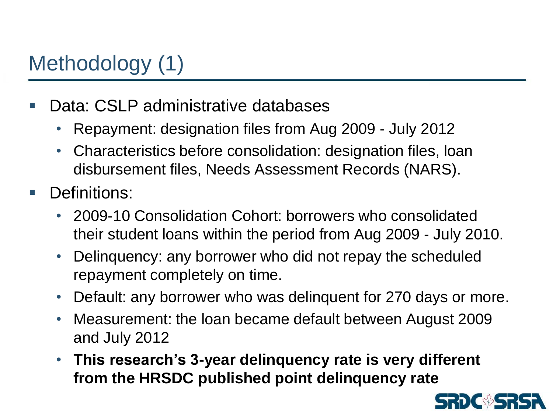# Methodology (1)

- Data: CSLP administrative databases
	- Repayment: designation files from Aug 2009 July 2012
	- Characteristics before consolidation: designation files, loan disbursement files, Needs Assessment Records (NARS).
- Definitions:
	- 2009-10 Consolidation Cohort: borrowers who consolidated their student loans within the period from Aug 2009 - July 2010.
	- Delinquency: any borrower who did not repay the scheduled repayment completely on time.
	- Default: any borrower who was delinquent for 270 days or more.
	- Measurement: the loan became default between August 2009 and July 2012
	- **This research's 3-year delinquency rate is very different from the HRSDC published point delinquency rate**

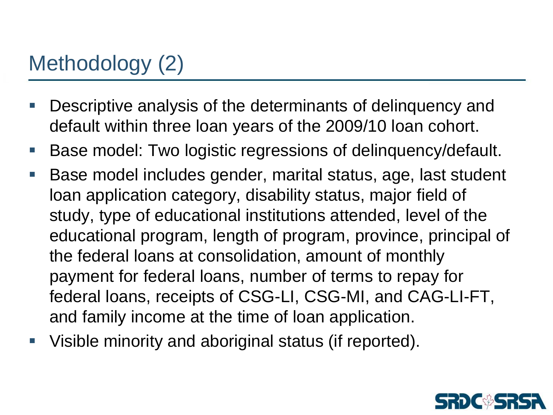## Methodology (2)

- Descriptive analysis of the determinants of delinquency and default within three loan years of the 2009/10 loan cohort.
- Base model: Two logistic regressions of delinquency/default.
- Base model includes gender, marital status, age, last student loan application category, disability status, major field of study, type of educational institutions attended, level of the educational program, length of program, province, principal of the federal loans at consolidation, amount of monthly payment for federal loans, number of terms to repay for federal loans, receipts of CSG-LI, CSG-MI, and CAG-LI-FT, and family income at the time of loan application.
- Visible minority and aboriginal status (if reported).

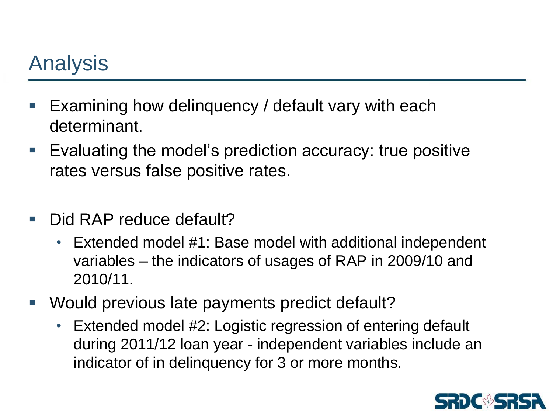## Analysis

- Examining how delinquency / default vary with each determinant.
- Evaluating the model's prediction accuracy: true positive rates versus false positive rates.
- Did RAP reduce default?
	- Extended model #1: Base model with additional independent variables – the indicators of usages of RAP in 2009/10 and 2010/11.
- Would previous late payments predict default?
	- Extended model #2: Logistic regression of entering default during 2011/12 loan year - independent variables include an indicator of in delinquency for 3 or more months.

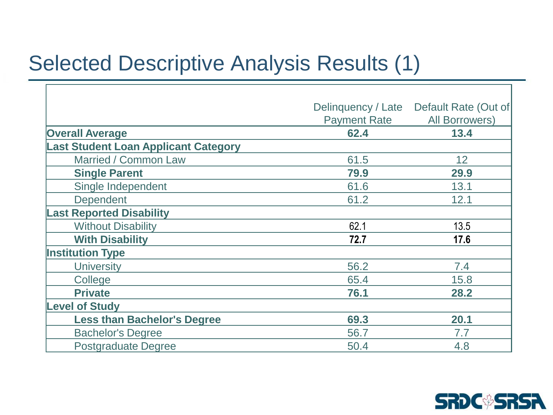#### Selected Descriptive Analysis Results (1)

Г

|                                             | Default Rate (Out of<br>Delinquency / Late |                       |  |
|---------------------------------------------|--------------------------------------------|-----------------------|--|
|                                             | <b>Payment Rate</b>                        | <b>All Borrowers)</b> |  |
| <b>Overall Average</b>                      | 62.4                                       | 13.4                  |  |
| <b>Last Student Loan Applicant Category</b> |                                            |                       |  |
| Married / Common Law                        | 61.5                                       | 12                    |  |
| <b>Single Parent</b>                        | 79.9                                       | 29.9                  |  |
| Single Independent                          | 61.6                                       | 13.1                  |  |
| <b>Dependent</b>                            | 61.2                                       | 12.1                  |  |
| <b>Last Reported Disability</b>             |                                            |                       |  |
| <b>Without Disability</b>                   | 62.1                                       | 13.5                  |  |
| <b>With Disability</b>                      | 72.7                                       | 17.6                  |  |
| <b>Institution Type</b>                     |                                            |                       |  |
| <b>University</b>                           | 56.2                                       | 7.4                   |  |
| College                                     | 65.4                                       | 15.8                  |  |
| <b>Private</b>                              | 76.1                                       | 28.2                  |  |
| <b>Level of Study</b>                       |                                            |                       |  |
| <b>Less than Bachelor's Degree</b>          | 69.3                                       | 20.1                  |  |
| <b>Bachelor's Degree</b>                    | 56.7                                       | 7.7                   |  |
| <b>Postgraduate Degree</b>                  | 50.4                                       | 4.8                   |  |

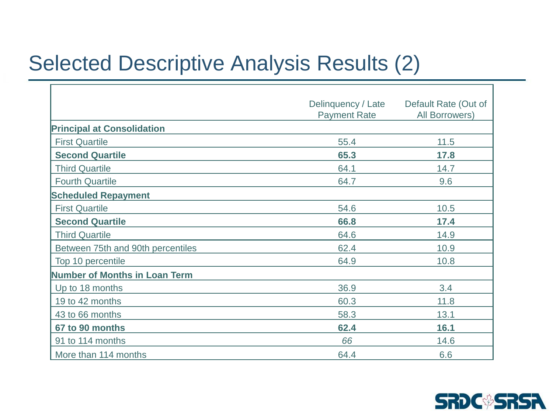## Selected Descriptive Analysis Results (2)

 $\Gamma$ 

|                                   | Delinquency / Late  | Default Rate (Out of<br>All Borrowers) |  |
|-----------------------------------|---------------------|----------------------------------------|--|
|                                   | <b>Payment Rate</b> |                                        |  |
| <b>Principal at Consolidation</b> |                     |                                        |  |
| <b>First Quartile</b>             | 55.4                | 11.5                                   |  |
| <b>Second Quartile</b>            | 65.3                | 17.8                                   |  |
| <b>Third Quartile</b>             | 64.1                | 14.7                                   |  |
| <b>Fourth Quartile</b>            | 64.7                | 9.6                                    |  |
| <b>Scheduled Repayment</b>        |                     |                                        |  |
| <b>First Quartile</b>             | 54.6                | 10.5                                   |  |
| <b>Second Quartile</b>            | 66.8                | 17.4                                   |  |
| <b>Third Quartile</b>             | 64.6                | 14.9                                   |  |
| Between 75th and 90th percentiles | 62.4                | 10.9                                   |  |
| Top 10 percentile                 | 64.9                | 10.8                                   |  |
| Number of Months in Loan Term     |                     |                                        |  |
| Up to 18 months                   | 36.9                | 3.4                                    |  |
| 19 to 42 months                   | 60.3                | 11.8                                   |  |
| 43 to 66 months                   | 58.3                | 13.1                                   |  |
| 67 to 90 months                   | 62.4                | 16.1                                   |  |
| 91 to 114 months                  | 66                  | 14.6                                   |  |
| More than 114 months              | 64.4                | 6.6                                    |  |

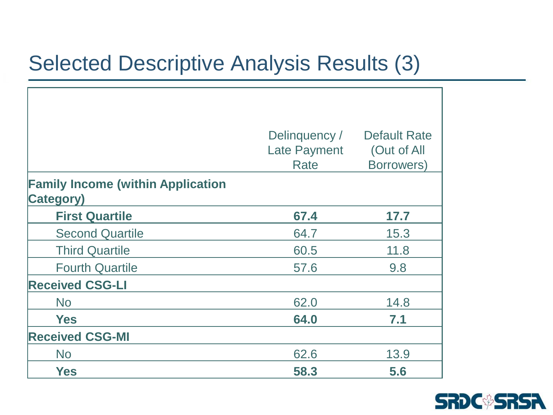## Selected Descriptive Analysis Results (3)

|                                                               | Delinquency /<br><b>Late Payment</b><br>Rate | <b>Default Rate</b><br>(Out of All<br>Borrowers) |
|---------------------------------------------------------------|----------------------------------------------|--------------------------------------------------|
| <b>Family Income (within Application</b><br><b>Category</b> ) |                                              |                                                  |
| <b>First Quartile</b>                                         | 67.4                                         | 17.7                                             |
| <b>Second Quartile</b>                                        | 64.7                                         | 15.3                                             |
| <b>Third Quartile</b>                                         | 60.5                                         | 11.8                                             |
| <b>Fourth Quartile</b>                                        | 57.6                                         | 9.8                                              |
| <b>Received CSG-LI</b>                                        |                                              |                                                  |
| <b>No</b>                                                     | 62.0                                         | 14.8                                             |
| <b>Yes</b>                                                    | 64.0                                         | 7.1                                              |
| <b>Received CSG-MI</b>                                        |                                              |                                                  |
| <b>No</b>                                                     | 62.6                                         | 13.9                                             |
| <b>Yes</b>                                                    | 58.3                                         | 5.6                                              |

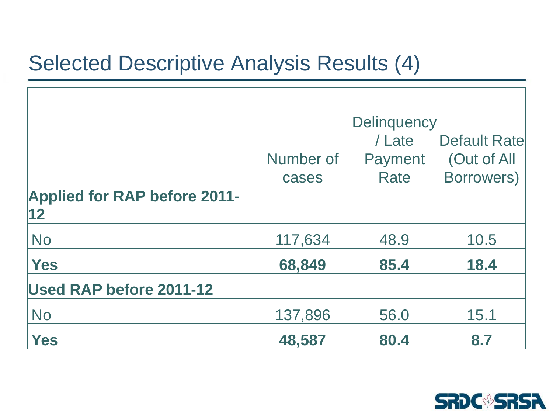## Selected Descriptive Analysis Results (4)

|                                     | <b>Delinquency</b> |         |                     |
|-------------------------------------|--------------------|---------|---------------------|
|                                     |                    | / Late  | <b>Default Rate</b> |
|                                     | Number of          | Payment | (Out of All         |
|                                     | cases              | Rate    | <b>Borrowers)</b>   |
| <b>Applied for RAP before 2011-</b> |                    |         |                     |
| $\vert$ 12                          |                    |         |                     |
| <b>No</b>                           | 117,634            | 48.9    | 10.5                |
| <b>Yes</b>                          | 68,849             | 85.4    | 18.4                |
| <b>Used RAP before 2011-12</b>      |                    |         |                     |
| <b>No</b>                           | 137,896            | 56.0    | 15.1                |
| Yes                                 | 48,587             | 80.4    | 8.7                 |

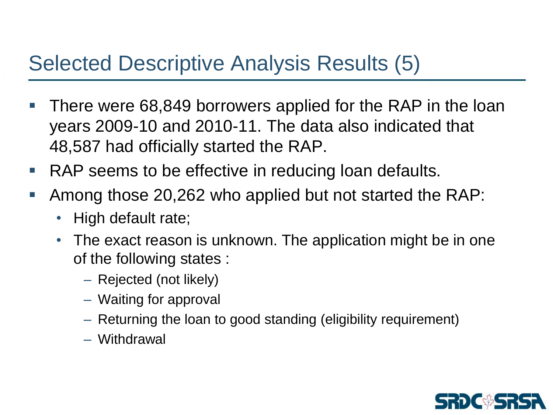## Selected Descriptive Analysis Results (5)

- There were 68,849 borrowers applied for the RAP in the loan years 2009-10 and 2010-11. The data also indicated that 48,587 had officially started the RAP.
- RAP seems to be effective in reducing loan defaults.
- Among those 20,262 who applied but not started the RAP:
	- High default rate;
	- The exact reason is unknown. The application might be in one of the following states :
		- Rejected (not likely)
		- Waiting for approval
		- Returning the loan to good standing (eligibility requirement)
		- Withdrawal

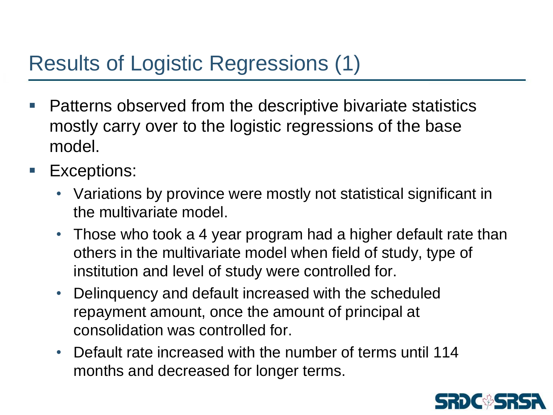## Results of Logistic Regressions (1)

- **Patterns observed from the descriptive bivariate statistics** mostly carry over to the logistic regressions of the base model.
- **Exceptions:** 
	- Variations by province were mostly not statistical significant in the multivariate model.
	- Those who took a 4 year program had a higher default rate than others in the multivariate model when field of study, type of institution and level of study were controlled for.
	- Delinquency and default increased with the scheduled repayment amount, once the amount of principal at consolidation was controlled for.
	- Default rate increased with the number of terms until 114 months and decreased for longer terms.

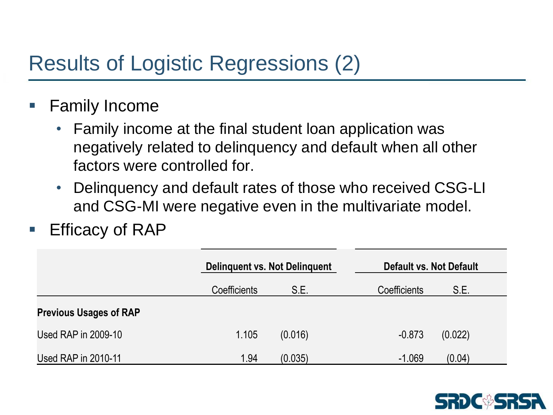## Results of Logistic Regressions (2)

- Family Income
	- Family income at the final student loan application was negatively related to delinquency and default when all other factors were controlled for.
	- Delinquency and default rates of those who received CSG-LI and CSG-MI were negative even in the multivariate model.
- Efficacy of RAP

|                               | Delinguent vs. Not Delinguent |         |                      | Default vs. Not Default |  |
|-------------------------------|-------------------------------|---------|----------------------|-------------------------|--|
|                               | Coefficients                  | S.E.    | Coefficients<br>S.E. |                         |  |
| <b>Previous Usages of RAP</b> |                               |         |                      |                         |  |
| Used RAP in 2009-10           | 1.105                         | (0.016) | $-0.873$<br>(0.022)  |                         |  |
| Used RAP in 2010-11           | 1.94                          | (0.035) | $-1.069$<br>(0.04)   |                         |  |

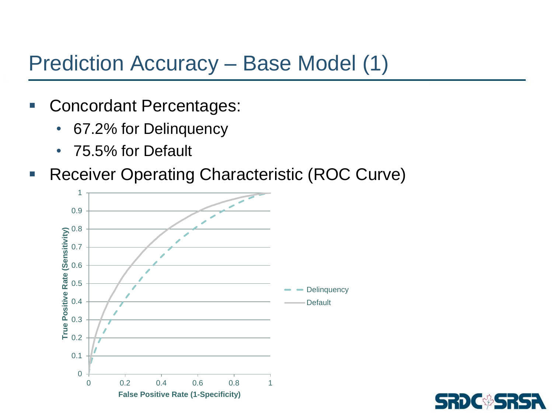#### Prediction Accuracy – Base Model (1)

- Concordant Percentages:
	- 67.2% for Delinquency
	- 75.5% for Default
- **Receiver Operating Characteristic (ROC Curve)**



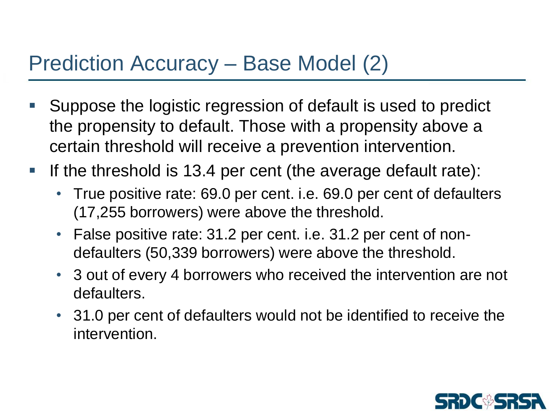## Prediction Accuracy – Base Model (2)

- Suppose the logistic regression of default is used to predict the propensity to default. Those with a propensity above a certain threshold will receive a prevention intervention.
- If the threshold is 13.4 per cent (the average default rate):
	- True positive rate: 69.0 per cent. i.e. 69.0 per cent of defaulters (17,255 borrowers) were above the threshold.
	- False positive rate: 31.2 per cent. i.e. 31.2 per cent of nondefaulters (50,339 borrowers) were above the threshold.
	- 3 out of every 4 borrowers who received the intervention are not defaulters.
	- 31.0 per cent of defaulters would not be identified to receive the intervention.

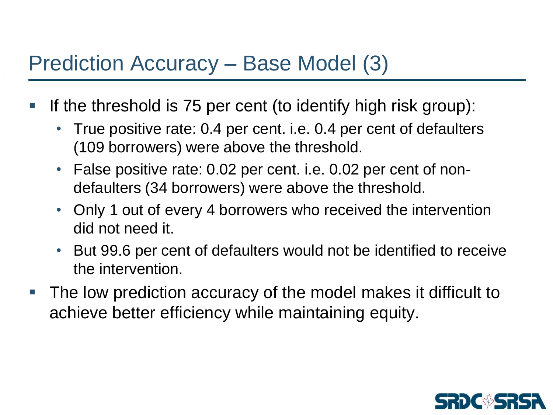#### Prediction Accuracy – Base Model (3)

- If the threshold is 75 per cent (to identify high risk group):
	- True positive rate: 0.4 per cent. i.e. 0.4 per cent of defaulters (109 borrowers) were above the threshold.
	- False positive rate: 0.02 per cent. i.e. 0.02 per cent of nondefaulters (34 borrowers) were above the threshold.
	- Only 1 out of every 4 borrowers who received the intervention did not need it.
	- But 99.6 per cent of defaulters would not be identified to receive the intervention.
- The low prediction accuracy of the model makes it difficult to achieve better efficiency while maintaining equity.

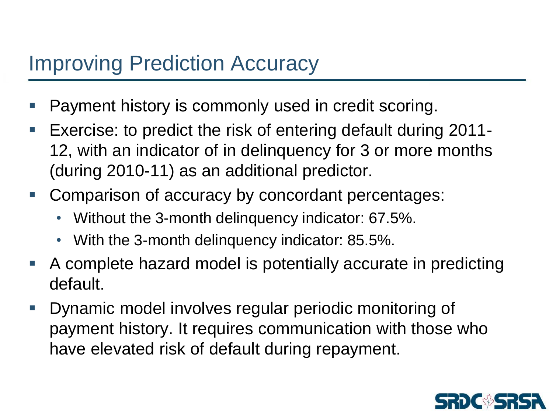#### Improving Prediction Accuracy

- Payment history is commonly used in credit scoring.
- Exercise: to predict the risk of entering default during 2011- 12, with an indicator of in delinquency for 3 or more months (during 2010-11) as an additional predictor.
- **Comparison of accuracy by concordant percentages:** 
	- Without the 3-month delinquency indicator: 67.5%.
	- With the 3-month delinquency indicator: 85.5%.
- A complete hazard model is potentially accurate in predicting default.
- Dynamic model involves regular periodic monitoring of payment history. It requires communication with those who have elevated risk of default during repayment.

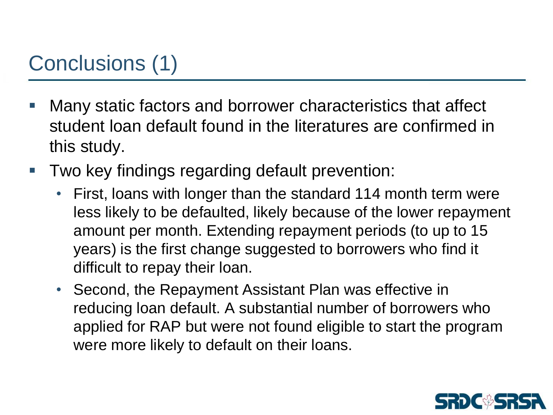# Conclusions (1)

- Many static factors and borrower characteristics that affect student loan default found in the literatures are confirmed in this study.
- Two key findings regarding default prevention:
	- First, loans with longer than the standard 114 month term were less likely to be defaulted, likely because of the lower repayment amount per month. Extending repayment periods (to up to 15 years) is the first change suggested to borrowers who find it difficult to repay their loan.
	- Second, the Repayment Assistant Plan was effective in reducing loan default. A substantial number of borrowers who applied for RAP but were not found eligible to start the program were more likely to default on their loans.